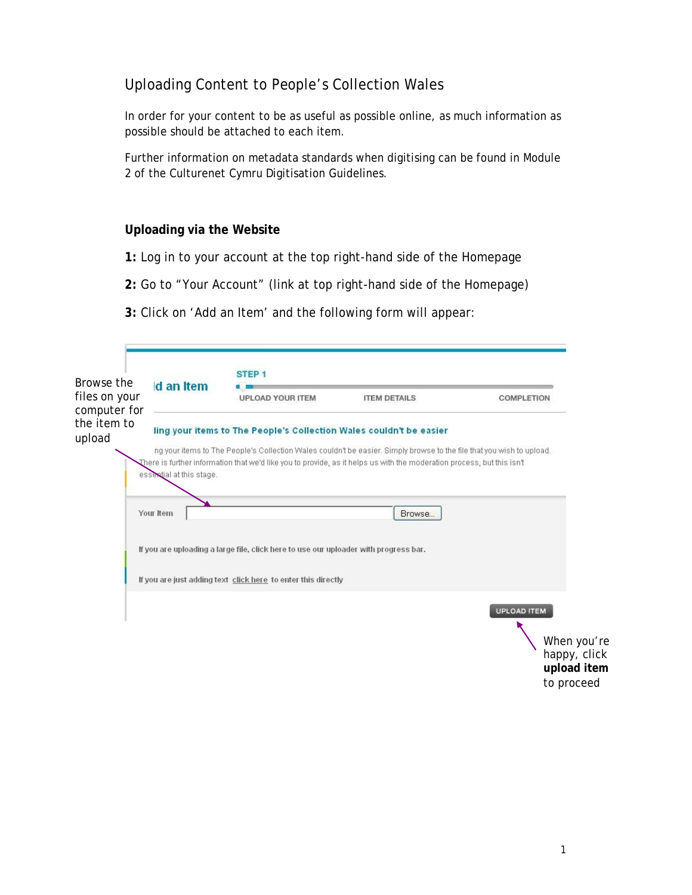## Uploading Content to People's Collection Wales

In order for your content to be as useful as possible online, as much information as possible should be attached to each item.

Further information on metadata standards when digitising can be found in Module 2 of the Culturenet Cymru Digitisation Guidelines.

#### **Uploading via the Website**

- **1:** Log in to your account at the top right-hand side of the Homepage
- **2:** Go to "Your Account" (link at top right-hand side of the Homepage)
- **3:** Click on 'Add an Item' and the following form will appear:

| Browse the                    | d an Item                | STEP <sub>1</sub>                                                                                                      |                     |                             |
|-------------------------------|--------------------------|------------------------------------------------------------------------------------------------------------------------|---------------------|-----------------------------|
| files on your<br>computer for |                          | <b>UPLOAD YOUR ITEM</b>                                                                                                | <b>ITEM DETAILS</b> | <b>COMPLETION</b>           |
| the item to                   |                          | ling your items to The People's Collection Wales couldn't be easier                                                    |                     |                             |
| upload                        |                          | ng your items to The People's Collection Wales couldn't be easier. Simply browse to the file that you wish to upload.  |                     |                             |
|                               |                          | There is further information that we'd like you to provide, as it helps us with the moderation process, but this isn't |                     |                             |
|                               | essextial at this stage. |                                                                                                                        |                     |                             |
|                               | Your Item                |                                                                                                                        |                     |                             |
|                               |                          |                                                                                                                        |                     |                             |
|                               |                          |                                                                                                                        | Browse              |                             |
|                               |                          |                                                                                                                        |                     |                             |
|                               |                          | If you are uploading a large file, click here to use our uploader with progress bar.                                   |                     |                             |
|                               |                          | If you are just adding text click here to enter this directly                                                          |                     |                             |
|                               |                          |                                                                                                                        |                     |                             |
|                               |                          |                                                                                                                        |                     | UPLOAD ITEM                 |
|                               |                          |                                                                                                                        |                     |                             |
|                               |                          |                                                                                                                        |                     | When you're                 |
|                               |                          |                                                                                                                        |                     | happy, click<br>upload item |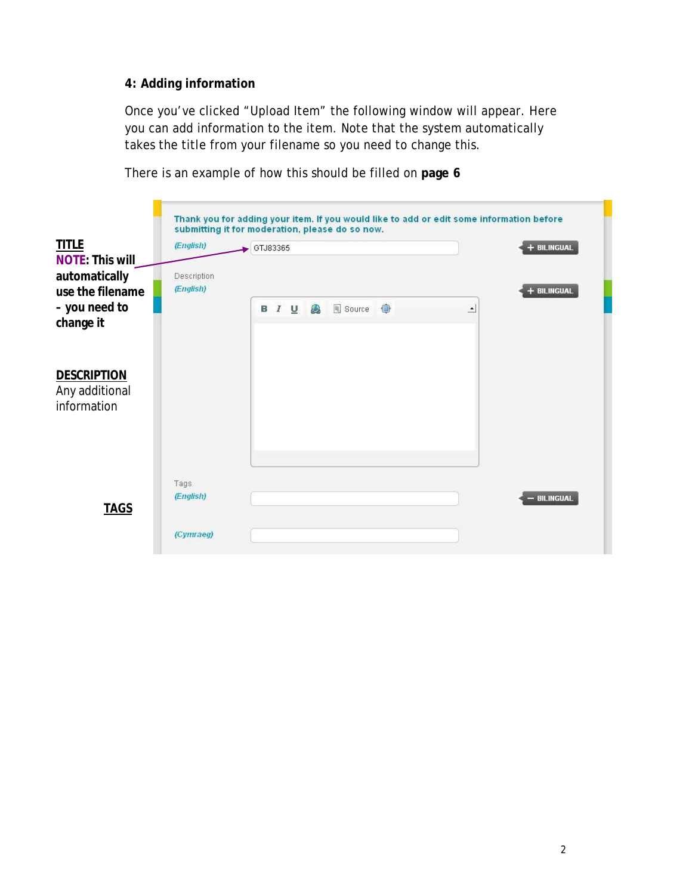#### **4: Adding information**

Once you've clicked "Upload Item" the following window will appear. Here you can add information to the item. Note that the system automatically takes the title from your filename so you need to change this.



There is an example of how this should be filled on **page 6**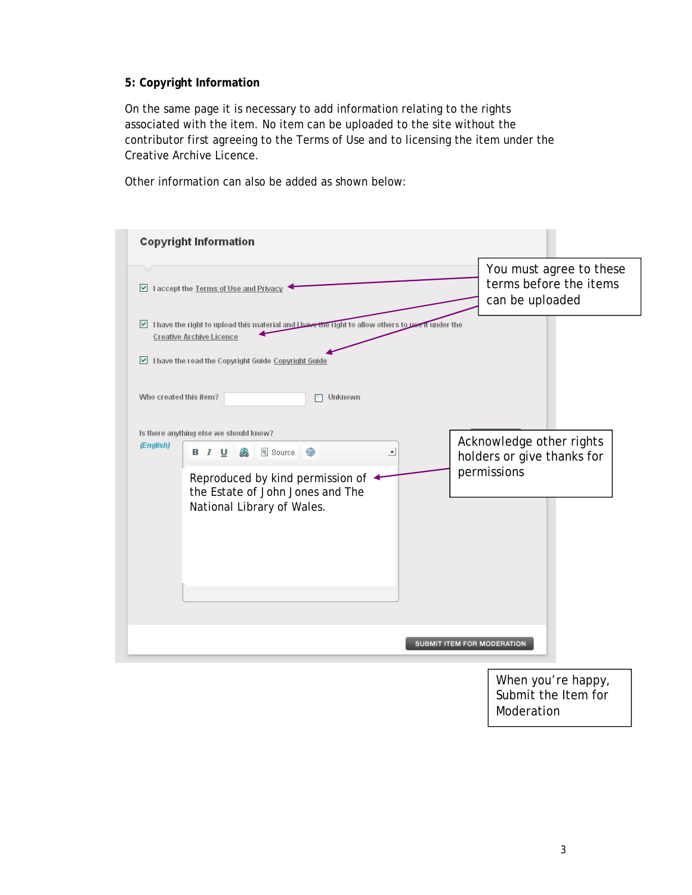#### **5: Copyright Information**

On the same page it is necessary to add information relating to the rights associated with the item. No item can be uploaded to the site without the contributor first agreeing to the Terms of Use and to licensing the item under the Creative Archive Licence.

Other information can also be added as shown below:

|                        | <b>Copyright Information</b>                                                                                                                                                               |                                                                      |  |
|------------------------|--------------------------------------------------------------------------------------------------------------------------------------------------------------------------------------------|----------------------------------------------------------------------|--|
|                        | I accept the Terms of Use and Privacy                                                                                                                                                      | You must agree to these<br>terms before the items<br>can be uploaded |  |
|                        | I have the right to upload this material and Lhave the right to allow others to use it under the<br><b>Creative Archive Licence</b><br>I have the read the Copyright Guide Copyright Guide |                                                                      |  |
| Who created this item? | Unknown                                                                                                                                                                                    |                                                                      |  |
| (English)              | Is there anything else we should know?<br><b>B I U A El Source ●</b><br>$\blacktriangle$                                                                                                   | Acknowledge other rights<br>holders or give thanks for               |  |
|                        | Reproduced by kind permission of ←<br>the Estate of John Jones and The<br>National Library of Wales.                                                                                       | permissions                                                          |  |
|                        | SUBMIT ITEM FOR MODERATION                                                                                                                                                                 |                                                                      |  |
|                        |                                                                                                                                                                                            | When you're happy,<br>Submit the Item for                            |  |

3

Moderation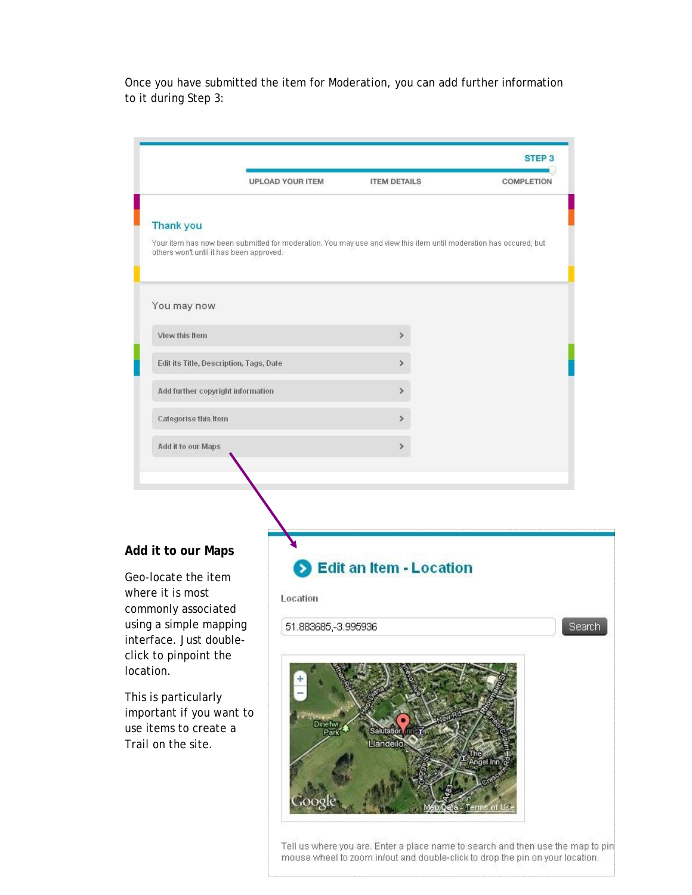Once you have submitted the item for Moderation, you can add further information to it during Step 3:

|                                                                                                                | <b>UPLOAD YOUR ITEM</b>         | <b>ITEM DETAILS</b>                                                                                               | <b>COMPLETION</b>  |
|----------------------------------------------------------------------------------------------------------------|---------------------------------|-------------------------------------------------------------------------------------------------------------------|--------------------|
|                                                                                                                |                                 |                                                                                                                   |                    |
| <b>Thank you</b>                                                                                               |                                 |                                                                                                                   |                    |
| others won't until it has been approved.                                                                       |                                 | Your item has now been submitted for moderation. You may use and view this item until moderation has occured, but |                    |
| You may now                                                                                                    |                                 |                                                                                                                   |                    |
| View this Item                                                                                                 |                                 | ×                                                                                                                 |                    |
| Edit its Title, Description, Tags, Date                                                                        |                                 | ×                                                                                                                 |                    |
| Add further copyright information                                                                              |                                 | ×                                                                                                                 |                    |
| Categorise this Item                                                                                           |                                 | ⋟                                                                                                                 |                    |
| Add it to our Maps                                                                                             |                                 | ×                                                                                                                 |                    |
|                                                                                                                |                                 |                                                                                                                   |                    |
| Add it to our Maps<br>Geo-locate the item<br>where it is most<br>commonly associated<br>using a simple mapping | Location<br>51.883685,-3.995936 | <b>B</b> Edit an Item - Location                                                                                  |                    |
| interface. Just double-<br>click to pinpoint the<br>location.                                                  |                                 |                                                                                                                   |                    |
| This is particularly<br>important if you want to<br>use items to create a<br>Trail on the site.                | Dinefwr<br>Park                 | Salutation fill<br>Llandeilo                                                                                      | ngel Inn<br>rms of |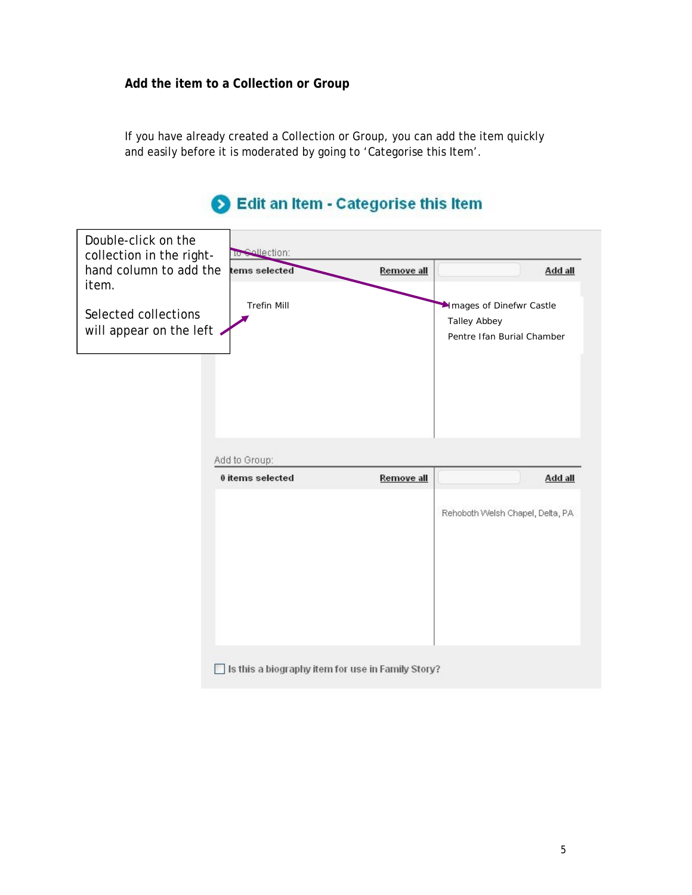**Add the item to a Collection or Group**

If you have already created a Collection or Group, you can add the item quickly and easily before it is moderated by going to 'Categorise this Item'.

# Edit an Item - Categorise this Item